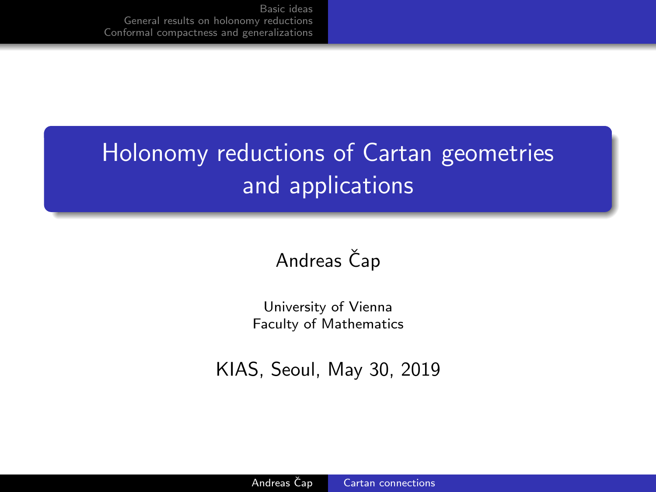## <span id="page-0-0"></span>Holonomy reductions of Cartan geometries and applications

## Andreas Čap

University of Vienna Faculty of Mathematics

KIAS, Seoul, May 30, 2019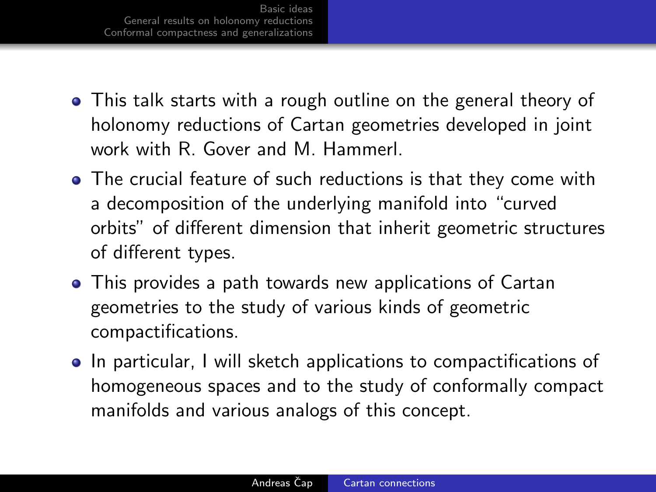- This talk starts with a rough outline on the general theory of holonomy reductions of Cartan geometries developed in joint work with R. Gover and M. Hammerl.
- The crucial feature of such reductions is that they come with a decomposition of the underlying manifold into "curved orbits" of different dimension that inherit geometric structures of different types.
- This provides a path towards new applications of Cartan geometries to the study of various kinds of geometric compactifications.
- **•** In particular, I will sketch applications to compactifications of homogeneous spaces and to the study of conformally compact manifolds and various analogs of this concept.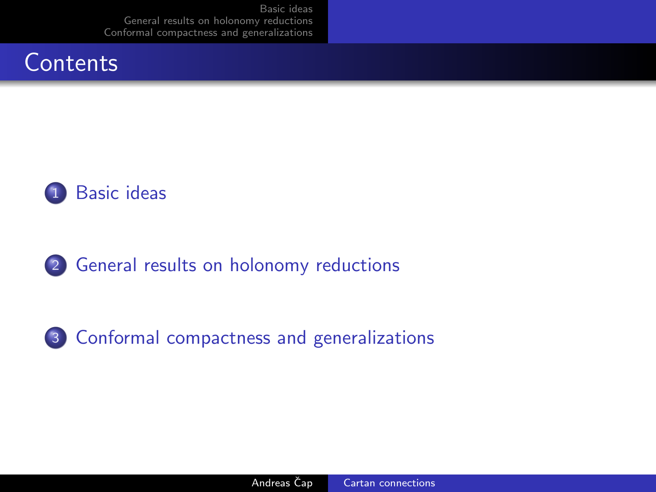



2 [General results on holonomy reductions](#page-7-0)

3 [Conformal compactness and generalizations](#page-10-0)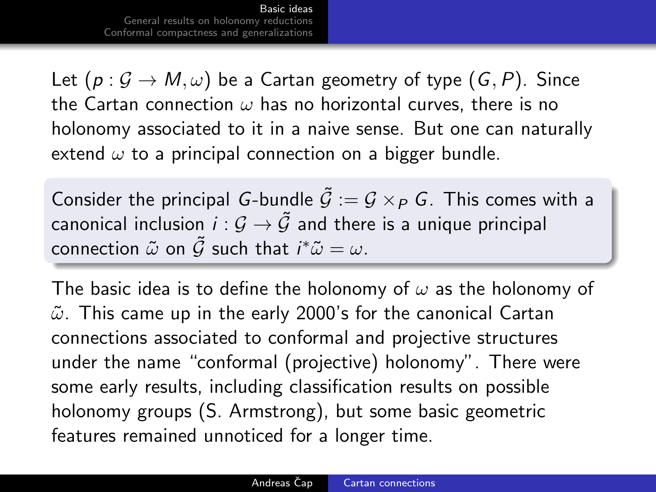<span id="page-3-0"></span>Let  $(p: \mathcal{G} \to M, \omega)$  be a Cartan geometry of type  $(G, P)$ . Since the Cartan connection  $\omega$  has no horizontal curves, there is no holonomy associated to it in a naive sense. But one can naturally extend  $\omega$  to a principal connection on a bigger bundle.

Consider the principal G-bundle  $\tilde{G} := G \times_{P} G$ . This comes with a canonical inclusion  $i : \mathcal{G} \to \tilde{\mathcal{G}}$  and there is a unique principal connection  $\tilde{\omega}$  on  $\tilde{\mathcal{G}}$  such that  $i^*\tilde{\omega}=\omega.$ 

The basic idea is to define the holonomy of  $\omega$  as the holonomy of  $\tilde{\omega}$ . This came up in the early 2000's for the canonical Cartan connections associated to conformal and projective structures under the name "conformal (projective) holonomy". There were some early results, including classification results on possible holonomy groups (S. Armstrong), but some basic geometric features remained unnoticed for a longer time.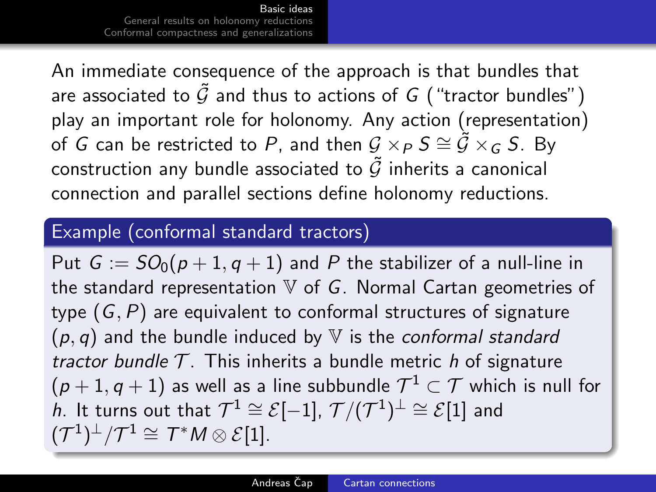An immediate consequence of the approach is that bundles that are associated to  $\tilde{G}$  and thus to actions of G ("tractor bundles") play an important role for holonomy. Any action (representation) of  $G$  can be restricted to  $P$ , and then  $\mathcal{G}\times_P S \cong \tilde{\mathcal{G}}\times_G S$ . By construction any bundle associated to  $\tilde{G}$  inherits a canonical connection and parallel sections define holonomy reductions.

#### Example (conformal standard tractors)

Put  $G := SO_0(p+1, q+1)$  and P the stabilizer of a null-line in the standard representation  $V$  of  $G$ . Normal Cartan geometries of type  $(G, P)$  are equivalent to conformal structures of signature  $(p, q)$  and the bundle induced by V is the conformal standard tractor bundle  $\mathcal T$ . This inherits a bundle metric h of signature  $(p+1,q+1)$  as well as a line subbundle  $\mathcal{T}^1 \subset \mathcal{T}$  which is null for  $\hat h$ . It turns out that  $\mathcal{T}^1 \cong \mathcal{E}[-1]$ ,  $\mathcal{T}/(\mathcal{T}^1)^{\perp} \cong \mathcal{E}[1]$  and  $({\cal T}^1)^{\perp}/{\cal T}^1 \cong {\cal T}^*M \otimes {\cal E}[1].$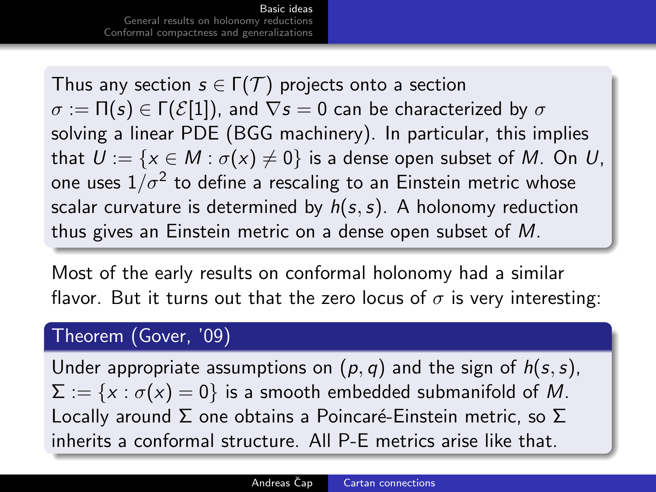Thus any section  $s \in \Gamma(\mathcal{T})$  projects onto a section  $\sigma := \Pi(s) \in \Gamma(E[1])$ , and  $\nabla s = 0$  can be characterized by  $\sigma$ solving a linear PDE (BGG machinery). In particular, this implies that  $U := \{x \in M : \sigma(x) \neq 0\}$  is a dense open subset of M. On U, one uses  $1/\sigma^2$  to define a rescaling to an Einstein metric whose scalar curvature is determined by  $h(s, s)$ . A holonomy reduction thus gives an Einstein metric on a dense open subset of M.

Most of the early results on conformal holonomy had a similar flavor. But it turns out that the zero locus of  $\sigma$  is very interesting:

#### Theorem (Gover, '09)

Under appropriate assumptions on  $(p, q)$  and the sign of  $h(s, s)$ ,  $\Sigma := \{x : \sigma(x) = 0\}$  is a smooth embedded submanifold of M. Locally around  $\Sigma$  one obtains a Poincaré-Einstein metric, so  $\Sigma$ inherits a conformal structure. All P-E metrics arise like that.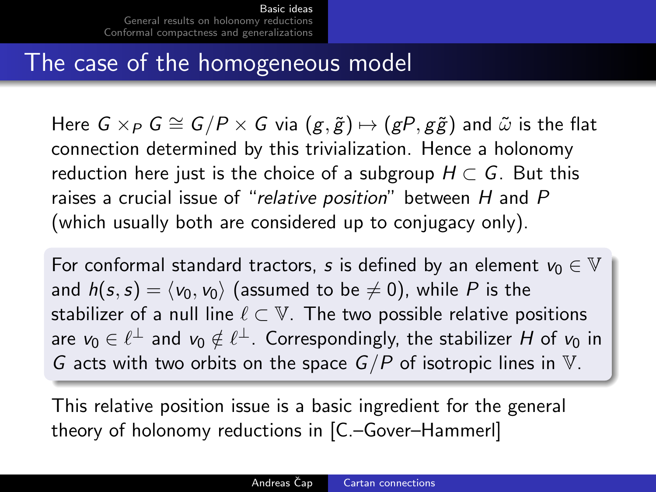## The case of the homogeneous model

Here  $G \times_{P} G \cong G/P \times G$  via  $(g, \tilde{g}) \mapsto (gP, g\tilde{g})$  and  $\tilde{\omega}$  is the flat connection determined by this trivialization. Hence a holonomy reduction here just is the choice of a subgroup  $H \subset G$ . But this raises a crucial issue of "relative position" between H and P (which usually both are considered up to conjugacy only).

For conformal standard tractors, s is defined by an element  $v_0 \in V$ and  $h(s, s) = \langle v_0, v_0 \rangle$  (assumed to be  $\neq 0$ ), while P is the stabilizer of a null line  $\ell \subset \mathbb{V}$ . The two possible relative positions are  $\mathsf{v}_0 \in \ell^\perp$  and  $\mathsf{v}_0 \notin \ell^\perp.$  Correspondingly, the stabilizer  $H$  of  $\mathsf{v}_0$  in G acts with two orbits on the space  $G/P$  of isotropic lines in V.

This relative position issue is a basic ingredient for the general theory of holonomy reductions in [C.–Gover–Hammerl]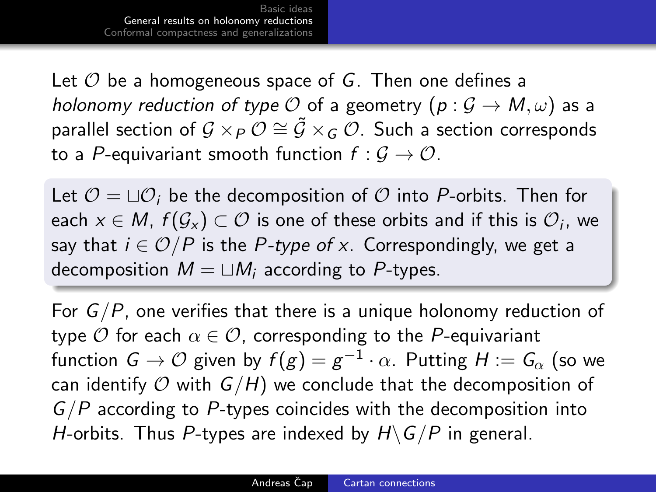<span id="page-7-0"></span>Let  $\mathcal O$  be a homogeneous space of G. Then one defines a holonomy reduction of type O of a geometry  $(p: \mathcal{G} \to M, \omega)$  as a parallel section of  $\mathcal{G}\times_P \mathcal{O}\cong \tilde{\mathcal{G}}\times_G \mathcal{O}.$  Such a section corresponds to a P-equivariant smooth function  $f: \mathcal{G} \to \mathcal{O}$ .

Let  $\mathcal{O} = \Box \mathcal{O}_i$  be the decomposition of  $\mathcal O$  into P-orbits. Then for each  $x\in M$ ,  $f(\mathcal{G}_x)\subset \mathcal{O}$  is one of these orbits and if this is  $\mathcal{O}_i$ , we say that  $i \in \mathcal{O}/P$  is the P-type of x. Correspondingly, we get a decomposition  $M = \sqcup M_i$  according to P-types.

For  $G/P$ , one verifies that there is a unique holonomy reduction of type  $\mathcal O$  for each  $\alpha \in \mathcal O$ , corresponding to the P-equivariant function  $\mathsf{G}\to\mathcal{O}$  given by  $f(g)=g^{-1}\cdot\alpha.$  Putting  $H:=\mathsf{G}_{\alpha}$  (so we can identify  $O$  with  $G/H$ ) we conclude that the decomposition of  $G/P$  according to P-types coincides with the decomposition into H-orbits. Thus P-types are indexed by  $H\backslash G/P$  in general.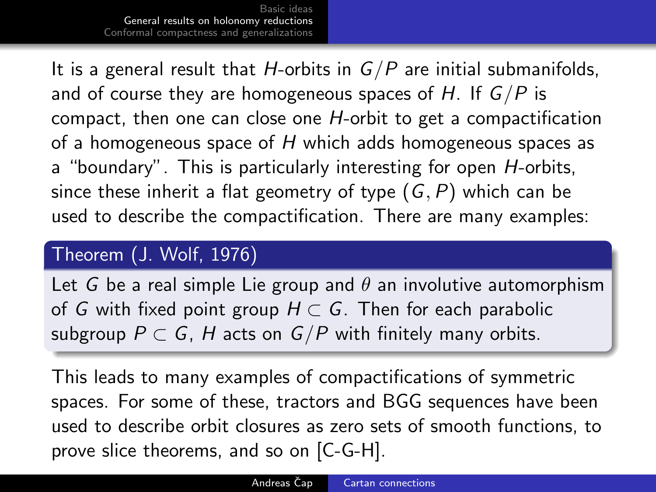It is a general result that H-orbits in  $G/P$  are initial submanifolds, and of course they are homogeneous spaces of H. If  $G/P$  is compact, then one can close one H-orbit to get a compactification of a homogeneous space of  $H$  which adds homogeneous spaces as a "boundary". This is particularly interesting for open H-orbits, since these inherit a flat geometry of type  $(G, P)$  which can be used to describe the compactification. There are many examples:

#### Theorem (J. Wolf, 1976)

Let G be a real simple Lie group and  $\theta$  an involutive automorphism of G with fixed point group  $H \subset G$ . Then for each parabolic subgroup  $P \subset G$ , H acts on  $G/P$  with finitely many orbits.

This leads to many examples of compactifications of symmetric spaces. For some of these, tractors and BGG sequences have been used to describe orbit closures as zero sets of smooth functions, to prove slice theorems, and so on [C-G-H].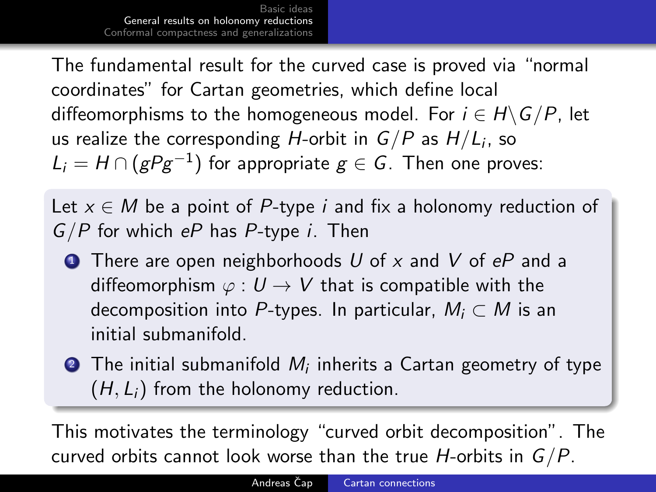The fundamental result for the curved case is proved via "normal coordinates" for Cartan geometries, which define local diffeomorphisms to the homogeneous model. For  $i \in H \backslash G/P$ , let us realize the corresponding  $H$ -orbit in  $G/P$  as  $H/L_i$ , so  $L_i=H\cap (gPg^{-1})$  for appropriate  $g\in G.$  Then one proves:

Let  $x \in M$  be a point of P-type *i* and fix a holonomy reduction of  $G/P$  for which eP has P-type *i*. Then

- **1** There are open neighborhoods U of x and V of  $eP$  and a diffeomorphism  $\varphi: U \to V$  that is compatible with the decomposition into P-types. In particular,  $M_i \subset M$  is an initial submanifold.
- $\bullet$  The initial submanifold  $M_i$  inherits a Cartan geometry of type  $(H, L<sub>i</sub>)$  from the holonomy reduction.

This motivates the terminology "curved orbit decomposition". The curved orbits cannot look worse than the true *H*-orbits in  $G/P$ .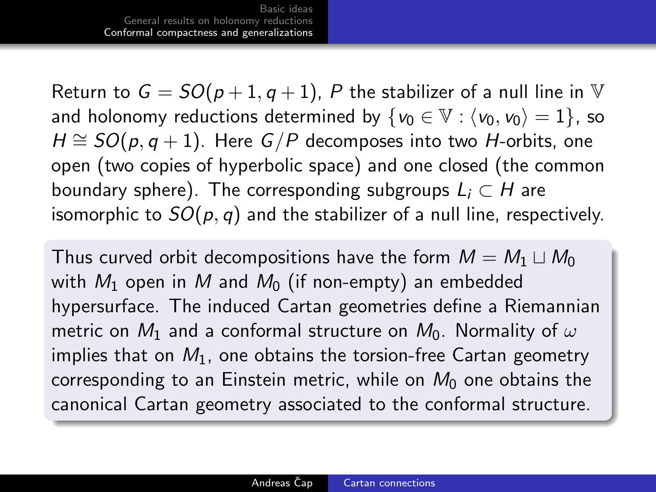<span id="page-10-0"></span>Return to  $G = SO(p+1, q+1)$ , P the stabilizer of a null line in V and holonomy reductions determined by  $\{v_0 \in \mathbb{V} : \langle v_0, v_0 \rangle = 1\}$ , so  $H \cong SO(p, q+1)$ . Here  $G/P$  decomposes into two *H*-orbits, one open (two copies of hyperbolic space) and one closed (the common boundary sphere). The corresponding subgroups  $L_i \subset H$  are isomorphic to  $SO(p, q)$  and the stabilizer of a null line, respectively.

Thus curved orbit decompositions have the form  $M = M_1 \sqcup M_0$ with  $M_1$  open in M and  $M_0$  (if non-empty) an embedded hypersurface. The induced Cartan geometries define a Riemannian metric on  $M_1$  and a conformal structure on  $M_0$ . Normality of  $\omega$ implies that on  $M_1$ , one obtains the torsion-free Cartan geometry corresponding to an Einstein metric, while on  $M_0$  one obtains the canonical Cartan geometry associated to the conformal structure.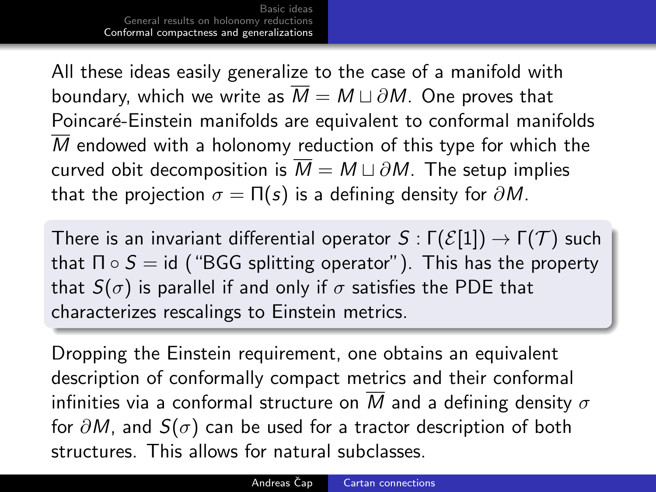All these ideas easily generalize to the case of a manifold with boundary, which we write as  $\overline{M} = M \sqcup \partial M$ . One proves that Poincaré-Einstein manifolds are equivalent to conformal manifolds M endowed with a holonomy reduction of this type for which the curved obit decomposition is  $\overline{M} = M \sqcup \partial M$ . The setup implies that the projection  $\sigma = \Pi(s)$  is a defining density for  $\partial M$ .

There is an invariant differential operator  $S : \Gamma(\mathcal{E}[1]) \to \Gamma(\mathcal{T})$  such that  $\Pi \circ S = id$  ("BGG splitting operator"). This has the property that  $S(\sigma)$  is parallel if and only if  $\sigma$  satisfies the PDE that characterizes rescalings to Einstein metrics.

Dropping the Einstein requirement, one obtains an equivalent description of conformally compact metrics and their conformal infinities via a conformal structure on M and a defining density  $\sigma$ for  $\partial M$ , and  $S(\sigma)$  can be used for a tractor description of both structures. This allows for natural subclasses.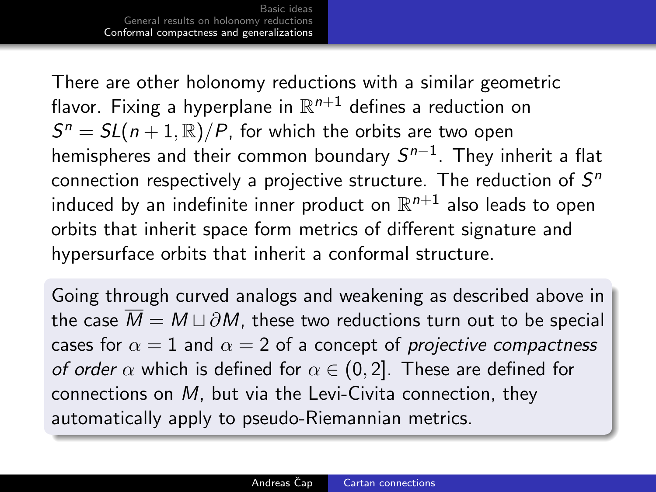There are other holonomy reductions with a similar geometric flavor. Fixing a hyperplane in  $\mathbb{R}^{n+1}$  defines a reduction on  $S^n = SL(n+1,\mathbb{R})/P$ , for which the orbits are two open hemispheres and their common boundary  $\mathcal{S}^{n-1}.$  They inherit a flat connection respectively a projective structure. The reduction of  $S^n$ induced by an indefinite inner product on  $\mathbb{R}^{n+1}$  also leads to open orbits that inherit space form metrics of different signature and hypersurface orbits that inherit a conformal structure.

Going through curved analogs and weakening as described above in the case  $\overline{M} = M \sqcup \partial M$ , these two reductions turn out to be special cases for  $\alpha = 1$  and  $\alpha = 2$  of a concept of *projective compactness* of order  $\alpha$  which is defined for  $\alpha \in (0, 2]$ . These are defined for connections on M, but via the Levi-Civita connection, they automatically apply to pseudo-Riemannian metrics.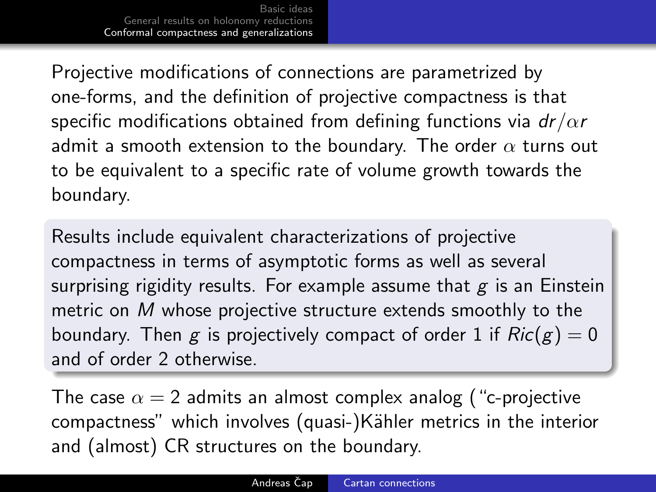Projective modifications of connections are parametrized by one-forms, and the definition of projective compactness is that specific modifications obtained from defining functions via  $dr/\alpha r$ admit a smooth extension to the boundary. The order  $\alpha$  turns out to be equivalent to a specific rate of volume growth towards the boundary.

Results include equivalent characterizations of projective compactness in terms of asymptotic forms as well as several surprising rigidity results. For example assume that  $g$  is an Einstein metric on M whose projective structure extends smoothly to the boundary. Then g is projectively compact of order 1 if  $Ric(g) = 0$ and of order 2 otherwise.

The case  $\alpha = 2$  admits an almost complex analog ("c-projective compactness" which involves (quasi-)Kähler metrics in the interior and (almost) CR structures on the boundary.